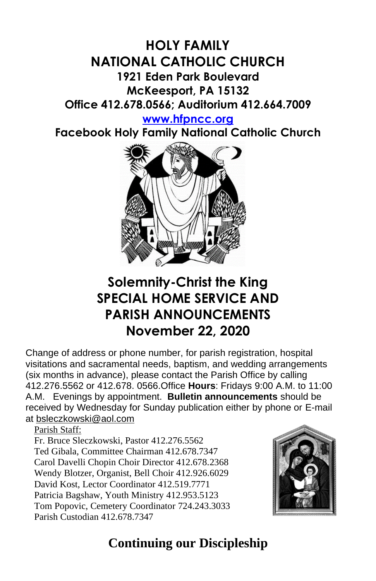### **HOLY FAMILY NATIONAL CATHOLIC CHURCH 1921 Eden Park Boulevard McKeesport, PA 15132 Office 412.678.0566; Auditorium 412.664.7009**

#### **[www.hfpncc.org](http://www.hfpncc.org/)**

**Facebook Holy Family National Catholic Church**



## **Solemnity-Christ the King SPECIAL HOME SERVICE AND PARISH ANNOUNCEMENTS November 22, 2020**

Change of address or phone number, for parish registration, hospital visitations and sacramental needs, baptism, and wedding arrangements (six months in advance), please contact the Parish Office by calling 412.276.5562 or 412.678. 0566.Office **Hours**: Fridays 9:00 A.M. to 11:00 A.M. Evenings by appointment. **Bulletin announcements** should be received by Wednesday for Sunday publication either by phone or E-mail at [bsleczkowski@aol.com](mailto:bsleczkowski@aol.com)

Parish Staff:

Fr. Bruce Sleczkowski, Pastor 412.276.5562 Ted Gibala, Committee Chairman 412.678.7347 Carol Davelli Chopin Choir Director 412.678.2368 Wendy Blotzer, Organist, Bell Choir 412.926.6029 David Kost, Lector Coordinator 412.519.7771 Patricia Bagshaw, Youth Ministry 412.953.5123 Tom Popovic, Cemetery Coordinator 724.243.3033 Parish Custodian 412.678.7347



# **Continuing our Discipleship**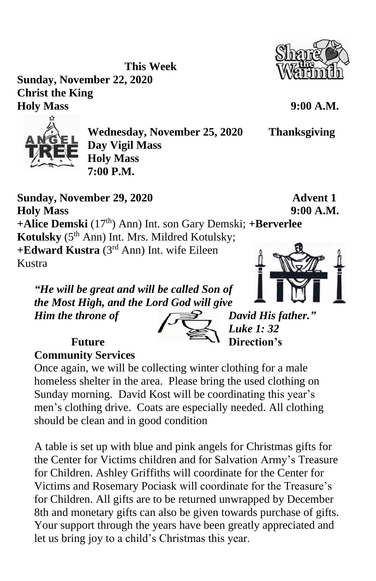**Sunday, November 22, 2020 Christ the King Holy Mass 9:00 A.M.**



**Wednesday, November 25, 2020 Thanksgiving Day Vigil Mass Holy Mass 7:00 P.M.**

**Sunday, November 29, 2020 Advent 1 Holy Mass 9:00 A.M. +Alice Demski** (17 th) Ann) Int. son Gary Demski; **+Berverlee Kotulsky** (5<sup>th</sup> Ann) Int. Mrs. Mildred Kotulsky; **+Edward Kustra** (3rd Ann) Int. wife Eileen Kustra

**This Week**

*"He will be great and will be called Son of the Most High, and the Lord God will give Him the throne of*  $\sqrt{2}$  *David His father.*"

 *Luke 1: 32*  **Future Example 1 Direction's** 

**Community Services**

Once again, we will be collecting winter clothing for a male homeless shelter in the area. Please bring the used clothing on Sunday morning. David Kost will be coordinating this year's men's clothing drive. Coats are especially needed. All clothing should be clean and in good condition

A table is set up with blue and pink angels for Christmas gifts for the Center for Victims children and for Salvation Army's Treasure for Children. Ashley Griffiths will coordinate for the Center for Victims and Rosemary Pociask will coordinate for the Treasure's for Children. All gifts are to be returned unwrapped by December 8th and monetary gifts can also be given towards purchase of gifts. Your support through the years have been greatly appreciated and let us bring joy to a child's Christmas this year.